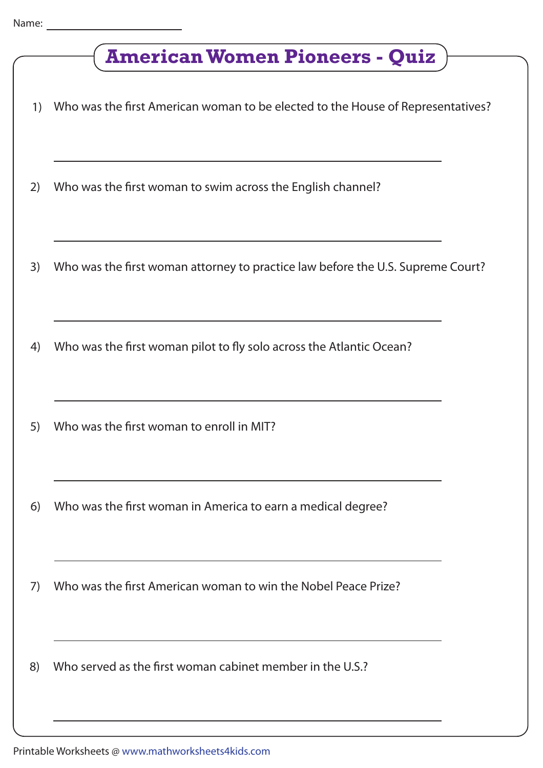|    | <b>American Women Pioneers - Quiz</b>                                           |  |
|----|---------------------------------------------------------------------------------|--|
| 1) | Who was the first American woman to be elected to the House of Representatives? |  |
| 2) | Who was the first woman to swim across the English channel?                     |  |
| 3) | Who was the first woman attorney to practice law before the U.S. Supreme Court? |  |
| 4) | Who was the first woman pilot to fly solo across the Atlantic Ocean?            |  |
| 5) | Who was the first woman to enroll in MIT?                                       |  |
| 6) | Who was the first woman in America to earn a medical degree?                    |  |
| 7) | Who was the first American woman to win the Nobel Peace Prize?                  |  |
| 8) | Who served as the first woman cabinet member in the U.S.?                       |  |
|    |                                                                                 |  |